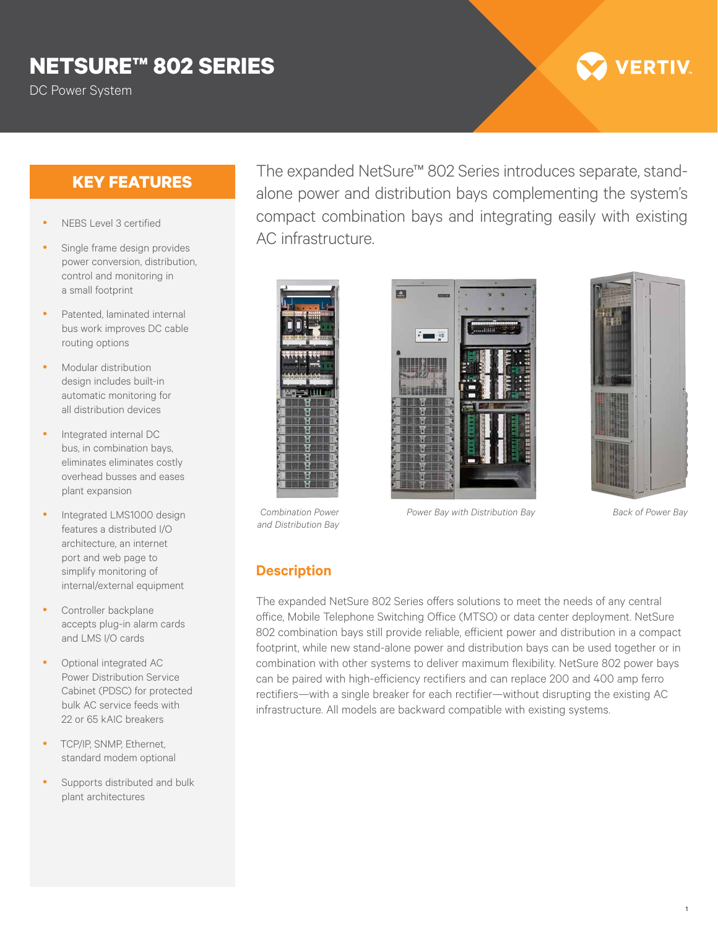# **NETSURE™ 802 SERIES**

DC Power System

- NEBS Level 3 certified
- Single frame design provides power conversion, distribution, control and monitoring in a small footprint
- Patented, laminated internal bus work improves DC cable routing options
- Modular distribution design includes built-in automatic monitoring for all distribution devices
- Integrated internal DC bus, in combination bays, eliminates eliminates costly overhead busses and eases plant expansion
- Integrated LMS1000 design features a distributed I/O architecture, an internet port and web page to simplify monitoring of internal/external equipment
- Controller backplane accepts plug-in alarm cards and LMS I/O cards
- Optional integrated AC Power Distribution Service Cabinet (PDSC) for protected bulk AC service feeds with 22 or 65 kAIC breakers
- TCP/IP, SNMP, Ethernet, standard modem optional
- Supports distributed and bulk plant architectures

**KEY FEATURES** The expanded NetSure™ 802 Series introduces separate, standalone power and distribution bays complementing the system's compact combination bays and integrating easily with existing AC infrastructure.







*Combination Power and Distribution Bay*

*Power Bay with Distribution Bay Back of Power Bay*

1

#### **Description**

The expanded NetSure 802 Series offers solutions to meet the needs of any central office, Mobile Telephone Switching Office (MTSO) or data center deployment. NetSure 802 combination bays still provide reliable, efficient power and distribution in a compact footprint, while new stand-alone power and distribution bays can be used together or in combination with other systems to deliver maximum flexibility. NetSure 802 power bays can be paired with high-efficiency rectifiers and can replace 200 and 400 amp ferro rectifiers—with a single breaker for each rectifier—without disrupting the existing AC infrastructure. All models are backward compatible with existing systems.

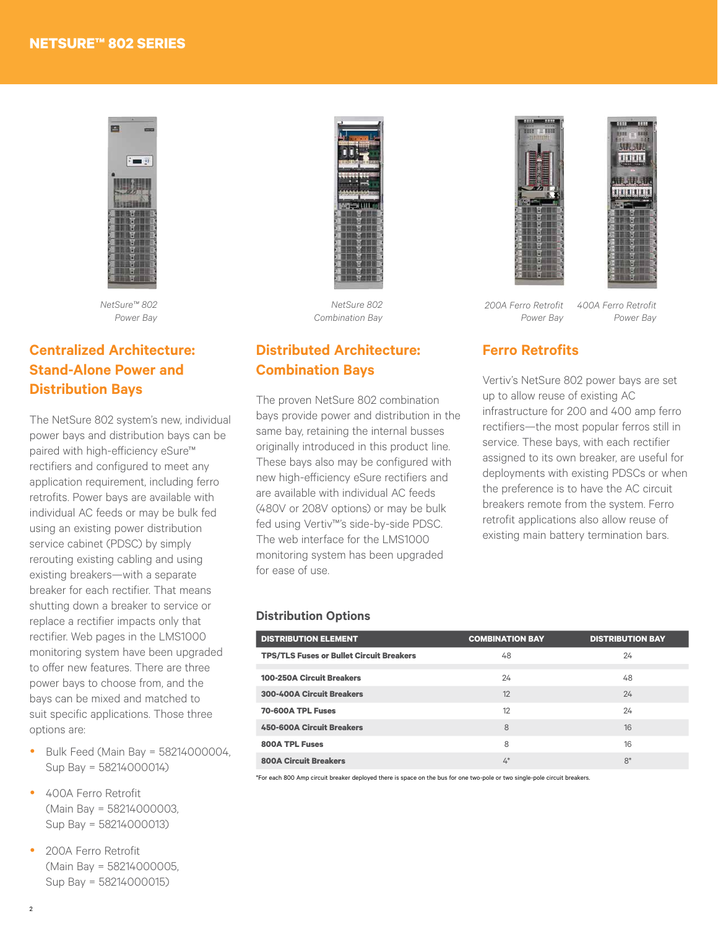

*NetSure™ 802 Power Bay*

### **Centralized Architecture: Stand-Alone Power and Distribution Bays**

The NetSure 802 system's new, individual power bays and distribution bays can be paired with high-efficiency eSure™ rectifiers and configured to meet any application requirement, including ferro retrofits. Power bays are available with individual AC feeds or may be bulk fed using an existing power distribution service cabinet (PDSC) by simply rerouting existing cabling and using existing breakers—with a separate breaker for each rectifier. That means shutting down a breaker to service or replace a rectifier impacts only that rectifier. Web pages in the LMS1000 monitoring system have been upgraded to offer new features. There are three power bays to choose from, and the bays can be mixed and matched to suit specific applications. Those three options are:

- Bulk Feed (Main Bay =  $58214000004$ , Sup Bay = 58214000014)
- 400A Ferro Retrofit (Main Bay = 58214000003, Sup Bay = 58214000013)
- 200A Ferro Retrofit (Main Bay = 58214000005, Sup Bay = 58214000015)



*NetSure 802 Combination Bay*

#### **Distributed Architecture: Combination Bays**

The proven NetSure 802 combination bays provide power and distribution in the same bay, retaining the internal busses originally introduced in this product line. These bays also may be configured with new high-efficiency eSure rectifiers and are available with individual AC feeds (480V or 208V options) or may be bulk fed using Vertiv™'s side-by-side PDSC. The web interface for the LMS1000 monitoring system has been upgraded for ease of use.





*200A Ferro Retrofit Power Bay*

*400A Ferro Retrofit Power Bay*

#### **Ferro Retrofits**

Vertiv's NetSure 802 power bays are set up to allow reuse of existing AC infrastructure for 200 and 400 amp ferro rectifiers—the most popular ferros still in service. These bays, with each rectifier assigned to its own breaker, are useful for deployments with existing PDSCs or when the preference is to have the AC circuit breakers remote from the system. Ferro retrofit applications also allow reuse of existing main battery termination bars.

#### **Distribution Options**

| <b>DISTRIBUTION ELEMENT</b>                     | <b>COMBINATION BAY</b> | <b>DISTRIBUTION BAY</b> |
|-------------------------------------------------|------------------------|-------------------------|
| <b>TPS/TLS Fuses or Bullet Circuit Breakers</b> | 48                     | 24                      |
| <b>100-250A Circuit Breakers</b>                | 24                     | 48                      |
| <b>300-400A Circuit Breakers</b>                | 12                     | 24                      |
| 70-600A TPL Fuses                               | 12                     | 24                      |
| <b>450-600A Circuit Breakers</b>                | 8                      | 16                      |
| <b>800A TPL Fuses</b>                           | 8                      | 16                      |
| <b>800A Circuit Breakers</b>                    | $4^*$                  | $8*$                    |

\*For each 800 Amp circuit breaker deployed there is space on the bus for one two-pole or two single-pole circuit breakers.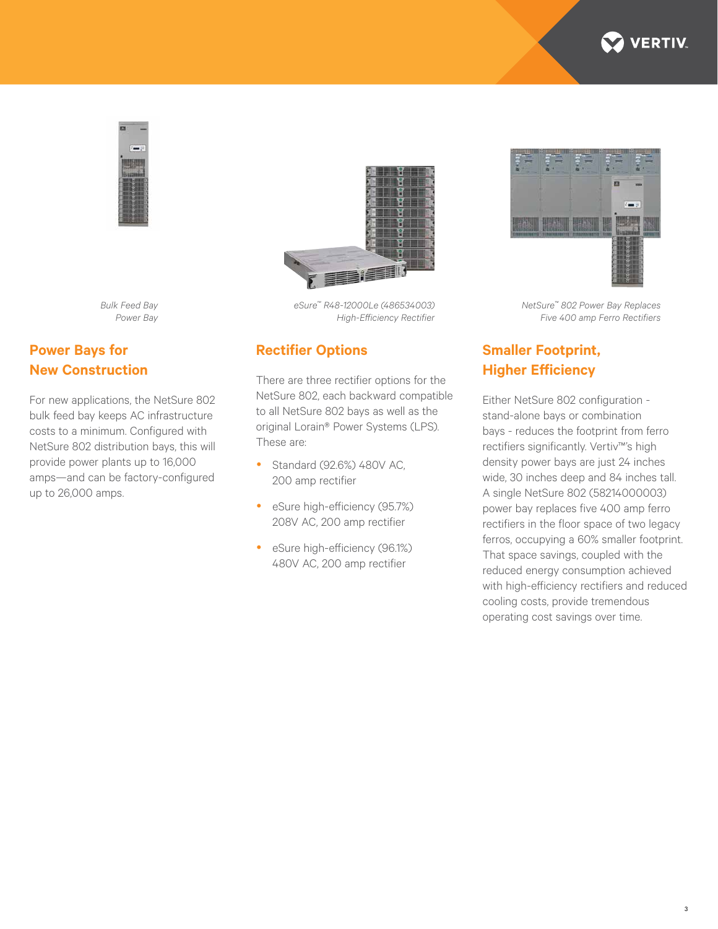



*Bulk Feed Bay Power Bay*

**Power Bays for New Construction**



*eSure™ R48-12000Le (486534003) High-Efficiency Rectifier*

#### **Rectifier Options**

There are three rectifier options for the NetSure 802, each backward compatible to all NetSure 802 bays as well as the original Lorain® Power Systems (LPS). These are:

- Standard (92.6%) 480V AC, 200 amp rectifier
- eSure high-efficiency (95.7%) 208V AC, 200 amp rectifier
- eSure high-efficiency (96.1%) 480V AC, 200 amp rectifier



*NetSure™ 802 Power Bay Replaces Five 400 amp Ferro Rectifiers*

## **Smaller Footprint, Higher Efficiency**

Either NetSure 802 configuration stand-alone bays or combination bays - reduces the footprint from ferro rectifiers significantly. Vertiv™'s high density power bays are just 24 inches wide, 30 inches deep and 84 inches tall. A single NetSure 802 (58214000003) power bay replaces five 400 amp ferro rectifiers in the floor space of two legacy ferros, occupying a 60% smaller footprint. That space savings, coupled with the reduced energy consumption achieved with high-efficiency rectifiers and reduced cooling costs, provide tremendous operating cost savings over time.

bulk feed bay keeps AC infrastructure

costs to a minimum. Configured with NetSure 802 distribution bays, this will provide power plants up to 16,000 amps—and can be factory-configured up to 26,000 amps.

For new applications, the NetSure 802